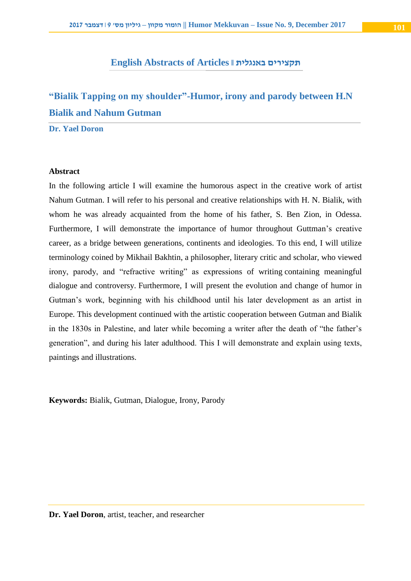## **"Bialik Tapping on my shoulder"-Humor, irony and parody between H.N Bialik and Nahum Gutman**

**Dr. Yael Doron**

### **Abstract**

In the following article I will examine the humorous aspect in the creative work of artist Nahum Gutman. I will refer to his personal and creative relationships with H. N. Bialik, with whom he was already acquainted from the home of his father, S. Ben Zion, in Odessa. Furthermore, I will demonstrate the importance of humor throughout Guttman's creative career, as a bridge between generations, continents and ideologies. To this end, I will utilize terminology coined by Mikhail Bakhtin, a philosopher, literary critic and scholar, who viewed irony, parody, and "refractive writing" as expressions of writing containing meaningful dialogue and controversy. Furthermore, I will present the evolution and change of humor in Gutman's work, beginning with his childhood until his later development as an artist in Europe. This development continued with the artistic cooperation between Gutman and Bialik in the 1830s in Palestine, and later while becoming a writer after the death of "the father's generation", and during his later adulthood. This I will demonstrate and explain using texts, paintings and illustrations.

**Keywords:** Bialik, Gutman, Dialogue, Irony, Parody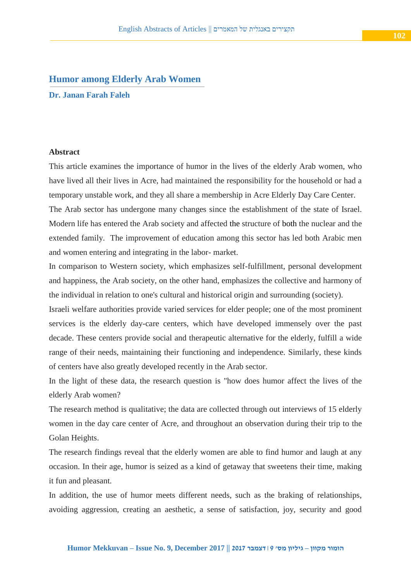# **Humor among Elderly Arab Women**

**Dr. Janan Farah Faleh**

#### **Abstract**

This article examines the importance of humor in the lives of the elderly Arab women, who have lived all their lives in Acre, had maintained the responsibility for the household or had a temporary unstable work, and they all share a membership in Acre Elderly Day Care Center.

The Arab sector has undergone many changes since the establishment of the state of Israel. Modern life has entered the Arab society and affected the structure of both the nuclear and the extended family. The improvement of education among this sector has led both Arabic men and women entering and integrating in the labor- market.

In comparison to Western society, which emphasizes self-fulfillment, personal development and happiness, the Arab society, on the other hand, emphasizes the collective and harmony of the individual in relation to one's cultural and historical origin and surrounding (society).

Israeli welfare authorities provide varied services for elder people; one of the most prominent services is the elderly day-care centers, which have developed immensely over the past decade. These centers provide social and therapeutic alternative for the elderly, fulfill a wide range of their needs, maintaining their functioning and independence. Similarly, these kinds of centers have also greatly developed recently in the Arab sector.

In the light of these data, the research question is "how does humor affect the lives of the elderly Arab women?

The research method is qualitative; the data are collected through out interviews of 15 elderly women in the day care center of Acre, and throughout an observation during their trip to the Golan Heights.

The research findings reveal that the elderly women are able to find humor and laugh at any occasion. In their age, humor is seized as a kind of getaway that sweetens their time, making it fun and pleasant.

In addition, the use of humor meets different needs, such as the braking of relationships, avoiding aggression, creating an aesthetic, a sense of satisfaction, joy, security and good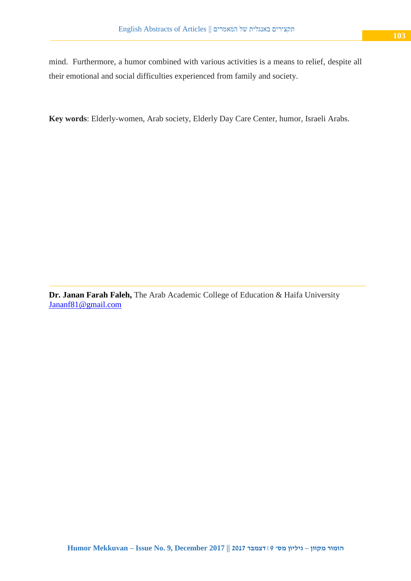mind. Furthermore, a humor combined with various activities is a means to relief, despite all their emotional and social difficulties experienced from family and society.

**Key words**: Elderly-women, Arab society, Elderly Day Care Center, humor, Israeli Arabs.

**Dr. Janan Farah Faleh,** The Arab Academic College of Education & Haifa University [Jananf81@gmail.com](mailto:Jananf81@gmail.com)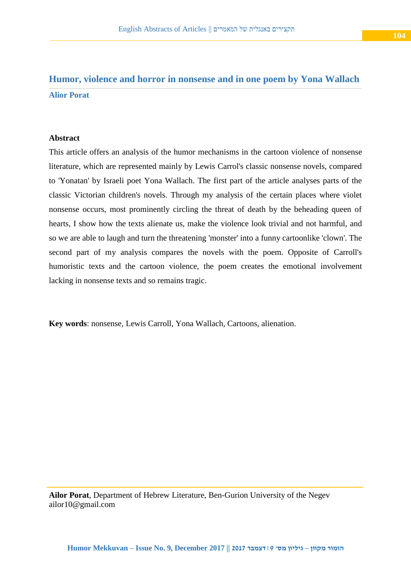### **Humor, violence and horror in nonsense and in one poem by Yona Wallach Alior Porat**

#### **Abstract**

This article offers an analysis of the humor mechanisms in the cartoon violence of nonsense literature, which are represented mainly by Lewis Carrol's classic nonsense novels, compared to 'Yonatan' by Israeli poet Yona Wallach. The first part of the article analyses parts of the classic Victorian children's novels. Through my analysis of the certain places where violet nonsense occurs, most prominently circling the threat of death by the beheading queen of hearts, I show how the texts alienate us, make the violence look trivial and not harmful, and so we are able to laugh and turn the threatening 'monster' into a funny cartoonlike 'clown'. The second part of my analysis compares the novels with the poem. Opposite of Carroll's humoristic texts and the cartoon violence, the poem creates the emotional involvement lacking in nonsense texts and so remains tragic.

**Key words**: nonsense, Lewis Carroll, Yona Wallach, Cartoons, alienation.

**Ailor Porat**, Department of Hebrew Literature, Ben-Gurion University of the Negev ailor10@gmail.com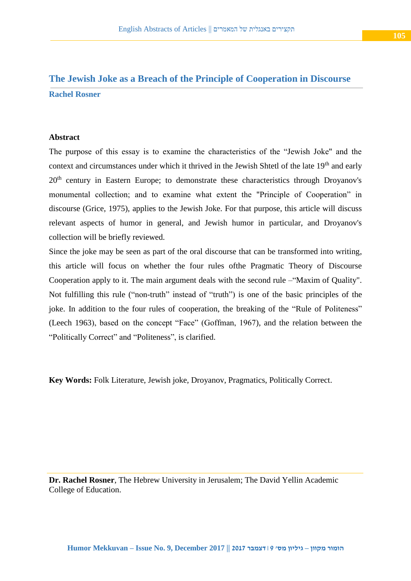### **The Jewish Joke as a Breach of the Principle of Cooperation in Discourse Rachel Rosner**

#### **Abstract**

The purpose of this essay is to examine the characteristics of the "Jewish Joke" and the context and circumstances under which it thrived in the Jewish Shtetl of the late 19<sup>th</sup> and early 20<sup>th</sup> century in Eastern Europe; to demonstrate these characteristics through Droyanov's monumental collection; and to examine what extent the "Principle of Cooperation" in discourse (Grice, 1975), applies to the Jewish Joke. For that purpose, this article will discuss relevant aspects of humor in general, and Jewish humor in particular, and Droyanov's collection will be briefly reviewed.

Since the joke may be seen as part of the oral discourse that can be transformed into writing, this article will focus on whether the four rules ofthe Pragmatic Theory of Discourse Cooperation apply to it. The main argument deals with the second rule –"Maxim of Quality". Not fulfilling this rule ("non-truth" instead of "truth") is one of the basic principles of the joke. In addition to the four rules of cooperation, the breaking of the "Rule of Politeness" (Leech 1963), based on the concept "Face" (Goffman, 1967), and the relation between the "Politically Correct" and "Politeness", is clarified.

**Key Words:** Folk Literature, Jewish joke, Droyanov, Pragmatics, Politically Correct.

**Dr. Rachel Rosner**, The Hebrew University in Jerusalem; The David Yellin Academic College of Education.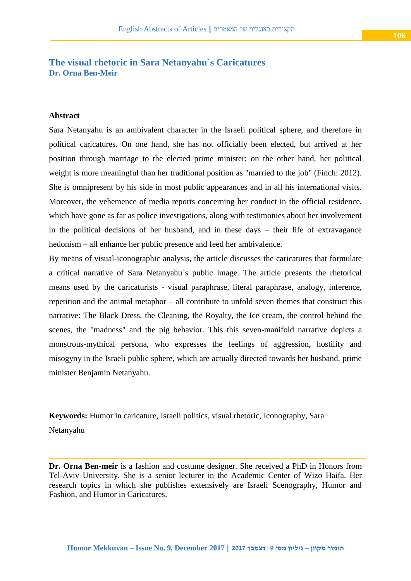### **The visual rhetoric in Sara Netanyahu`s Caricatures Dr. Orna Ben-Meir**

### **Abstract**

Sara Netanyahu is an ambivalent character in the Israeli political sphere, and therefore in political caricatures. On one hand, she has not officially been elected, but arrived at her position through marriage to the elected prime minister; on the other hand, her political weight is more meaningful than her traditional position as "married to the job" (Finch: 2012). She is omnipresent by his side in most public appearances and in all his international visits. Moreover, the vehemence of media reports concerning her conduct in the official residence, which have gone as far as police investigations, along with testimonies about her involvement in the political decisions of her husband, and in these days – their life of extravagance hedonism – all enhance her public presence and feed her ambivalence.

By means of visual-iconographic analysis, the article discusses the caricatures that formulate a critical narrative of Sara Netanyahu`s public image. The article presents the rhetorical means used by the caricaturists - visual paraphrase, literal paraphrase, analogy, inference, repetition and the animal metaphor – all contribute to unfold seven themes that construct this narrative: The Black Dress, the Cleaning, the Royalty, the Ice cream, the control behind the scenes, the "madness" and the pig behavior. This this seven-manifold narrative depicts a monstrous-mythical persona, who expresses the feelings of aggression, hostility and misogyny in the Israeli public sphere, which are actually directed towards her husband, prime minister Benjamin Netanyahu.

**Keywords:** Humor in caricature, Israeli politics, visual rhetoric, Iconography, Sara Netanyahu

**Dr. Orna Ben-meir** is a fashion and costume designer. She received a PhD in Honors from Tel-Aviv University. She is a senior lecturer in the Academic Center of Wizo Haifa. Her research topics in which she publishes extensively are Israeli Scenography, Humor and Fashion, and Humor in Caricatures.